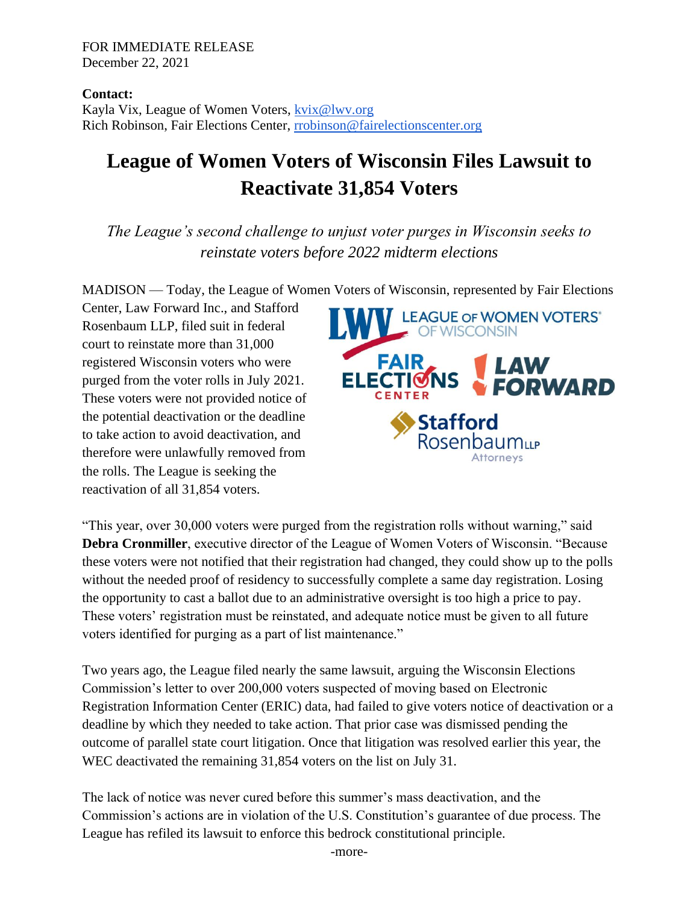## FOR IMMEDIATE RELEASE December 22, 2021

**Contact:** Kayla Vix, League of Women Voters, [kvix@lwv.org](mailto:kvix@lwv.org) Rich Robinson, Fair Elections Center, [rrobinson@fairelectionscenter.org](mailto:rrobinson@fairelectionscenter.org)

## **League of Women Voters of Wisconsin Files Lawsuit to Reactivate 31,854 Voters**

*The League's second challenge to unjust voter purges in Wisconsin seeks to reinstate voters before 2022 midterm elections*

MADISON — Today, the League of Women Voters of Wisconsin, represented by Fair Elections

Center, Law Forward Inc., and Stafford Rosenbaum LLP, filed suit in federal court to reinstate more than 31,000 registered Wisconsin voters who were purged from the voter rolls in July 2021. These voters were not provided notice of the potential deactivation or the deadline to take action to avoid deactivation, and therefore were unlawfully removed from the rolls. The League is seeking the reactivation of all 31,854 voters.



"This year, over 30,000 voters were purged from the registration rolls without warning," said **Debra Cronmiller**, executive director of the League of Women Voters of Wisconsin. "Because these voters were not notified that their registration had changed, they could show up to the polls without the needed proof of residency to successfully complete a same day registration. Losing the opportunity to cast a ballot due to an administrative oversight is too high a price to pay. These voters' registration must be reinstated, and adequate notice must be given to all future voters identified for purging as a part of list maintenance."

Two years ago, the League filed nearly the same lawsuit, arguing the Wisconsin Elections Commission's letter to over 200,000 voters suspected of moving based on Electronic Registration Information Center (ERIC) data, had failed to give voters notice of deactivation or a deadline by which they needed to take action. That prior case was dismissed pending the outcome of parallel state court litigation. Once that litigation was resolved earlier this year, the WEC deactivated the remaining 31,854 voters on the list on July 31.

The lack of notice was never cured before this summer's mass deactivation, and the Commission's actions are in violation of the U.S. Constitution's guarantee of due process. The League has refiled its lawsuit to enforce this bedrock constitutional principle.